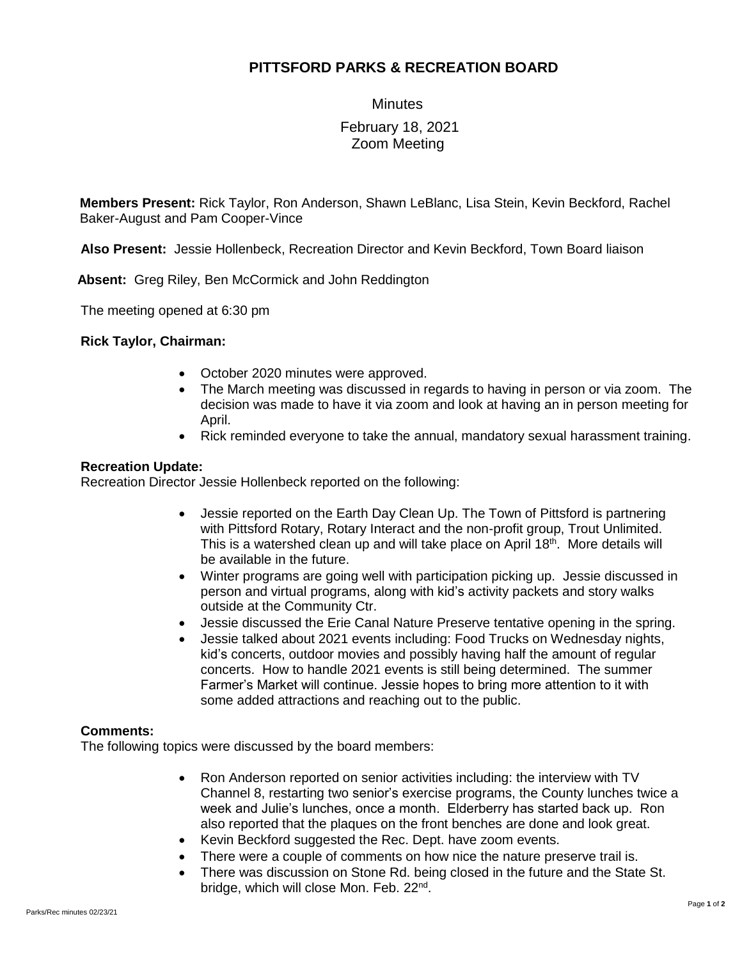# **PITTSFORD PARKS & RECREATION BOARD**

**Minutes** 

## February 18, 2021 Zoom Meeting

**Members Present:** Rick Taylor, Ron Anderson, Shawn LeBlanc, Lisa Stein, Kevin Beckford, Rachel Baker-August and Pam Cooper-Vince

**Also Present:** Jessie Hollenbeck, Recreation Director and Kevin Beckford, Town Board liaison

 **Absent:** Greg Riley, Ben McCormick and John Reddington

The meeting opened at 6:30 pm

### **Rick Taylor, Chairman:**

- October 2020 minutes were approved.
- The March meeting was discussed in regards to having in person or via zoom. The decision was made to have it via zoom and look at having an in person meeting for April.
- Rick reminded everyone to take the annual, mandatory sexual harassment training.

### **Recreation Update:**

Recreation Director Jessie Hollenbeck reported on the following:

- Jessie reported on the Earth Day Clean Up. The Town of Pittsford is partnering with Pittsford Rotary, Rotary Interact and the non-profit group, Trout Unlimited. This is a watershed clean up and will take place on April 18<sup>th</sup>. More details will be available in the future.
- Winter programs are going well with participation picking up. Jessie discussed in person and virtual programs, along with kid's activity packets and story walks outside at the Community Ctr.
- Jessie discussed the Erie Canal Nature Preserve tentative opening in the spring.
- Jessie talked about 2021 events including: Food Trucks on Wednesday nights, kid's concerts, outdoor movies and possibly having half the amount of regular concerts. How to handle 2021 events is still being determined. The summer Farmer's Market will continue. Jessie hopes to bring more attention to it with some added attractions and reaching out to the public.

### **Comments:**

The following topics were discussed by the board members:

- Ron Anderson reported on senior activities including: the interview with TV Channel 8, restarting two senior's exercise programs, the County lunches twice a week and Julie's lunches, once a month. Elderberry has started back up. Ron also reported that the plaques on the front benches are done and look great.
- Kevin Beckford suggested the Rec. Dept. have zoom events.
- There were a couple of comments on how nice the nature preserve trail is.
- There was discussion on Stone Rd. being closed in the future and the State St. bridge, which will close Mon. Feb. 22<sup>nd</sup>.